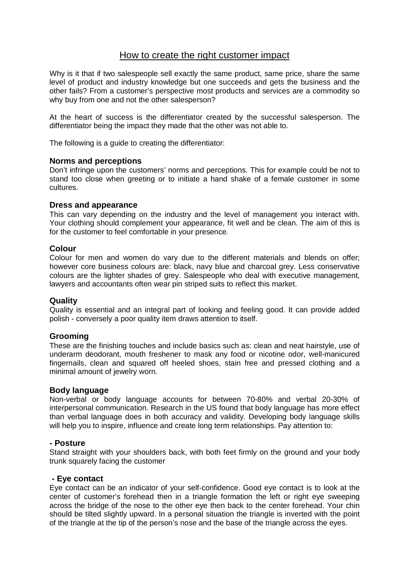# How to create the right customer impact

Why is it that if two salespeople sell exactly the same product, same price, share the same level of product and industry knowledge but one succeeds and gets the business and the other fails? From a customer's perspective most products and services are a commodity so why buy from one and not the other salesperson?

At the heart of success is the differentiator created by the successful salesperson. The differentiator being the impact they made that the other was not able to.

The following is a guide to creating the differentiator:

## **Norms and perceptions**

Don't infringe upon the customers' norms and perceptions. This for example could be not to stand too close when greeting or to initiate a hand shake of a female customer in some cultures.

#### **Dress and appearance**

This can vary depending on the industry and the level of management you interact with. Your clothing should complement your appearance, fit well and be clean. The aim of this is for the customer to feel comfortable in your presence.

## **Colour**

Colour for men and women do vary due to the different materials and blends on offer; however core business colours are: black, navy blue and charcoal grey. Less conservative colours are the lighter shades of grey. Salespeople who deal with executive management, lawyers and accountants often wear pin striped suits to reflect this market.

#### **Quality**

Quality is essential and an integral part of looking and feeling good. It can provide added polish - conversely a poor quality item draws attention to itself.

# **Grooming**

These are the finishing touches and include basics such as: clean and neat hairstyle, use of underarm deodorant, mouth freshener to mask any food or nicotine odor, well-manicured fingernails, clean and squared off heeled shoes, stain free and pressed clothing and a minimal amount of jewelry worn.

#### **Body language**

Non-verbal or body language accounts for between 70-80% and verbal 20-30% of interpersonal communication. Research in the US found that body language has more effect than verbal language does in both accuracy and validity. Developing body language skills will help you to inspire, influence and create long term relationships. Pay attention to:

#### **- Posture**

Stand straight with your shoulders back, with both feet firmly on the ground and your body trunk squarely facing the customer

#### **- Eye contact**

Eye contact can be an indicator of your self-confidence. Good eye contact is to look at the center of customer's forehead then in a triangle formation the left or right eye sweeping across the bridge of the nose to the other eye then back to the center forehead. Your chin should be tilted slightly upward. In a personal situation the triangle is inverted with the point of the triangle at the tip of the person's nose and the base of the triangle across the eyes.